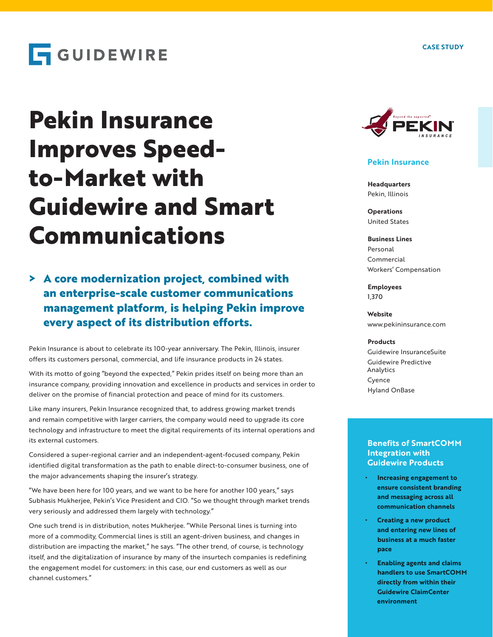**CASE STUDY**

## **GUIDEWIRE**

# **Pekin Insurance Improves Speedto-Market with Guidewire and Smart Communications**

## **> A core modernization project, combined with an enterprise-scale customer communications management platform, is helping Pekin improve every aspect of its distribution efforts.**

Pekin Insurance is about to celebrate its 100-year anniversary. The Pekin, Illinois, insurer offers its customers personal, commercial, and life insurance products in 24 states.

With its motto of going "beyond the expected," Pekin prides itself on being more than an insurance company, providing innovation and excellence in products and services in order to deliver on the promise of financial protection and peace of mind for its customers.

Like many insurers, Pekin Insurance recognized that, to address growing market trends and remain competitive with larger carriers, the company would need to upgrade its core technology and infrastructure to meet the digital requirements of its internal operations and its external customers.

Considered a super-regional carrier and an independent-agent-focused company, Pekin identified digital transformation as the path to enable direct-to-consumer business, one of the major advancements shaping the insurer's strategy.

"We have been here for 100 years, and we want to be here for another 100 years," says Subhasis Mukherjee, Pekin's Vice President and CIO. "So we thought through market trends very seriously and addressed them largely with technology."

One such trend is in distribution, notes Mukherjee. "While Personal lines is turning into more of a commodity, Commercial lines is still an agent-driven business, and changes in distribution are impacting the market," he says. "The other trend, of course, is technology itself, and the digitalization of insurance by many of the insurtech companies is redefining the engagement model for customers: in this case, our end customers as well as our channel customers."



#### **Pekin Insurance**

**Headquarters** Pekin, Illinois

**Operations** United States

**Business Lines** Personal Commercial Workers' Compensation

**Employees** 1,370

**Website** www.pekininsurance.com

#### **Products**

Guidewire InsuranceSuite Guidewire Predictive Analytics Cyence Hyland OnBase

#### **Benefits of SmartCOMM Integration with Guidewire Products**

- **• Increasing engagement to ensure consistent branding and messaging across all communication channels**
- **• Creating a new product and entering new lines of business at a much faster pace**
- **• Enabling agents and claims handlers to use SmartCOMM directly from within their Guidewire ClaimCenter environment**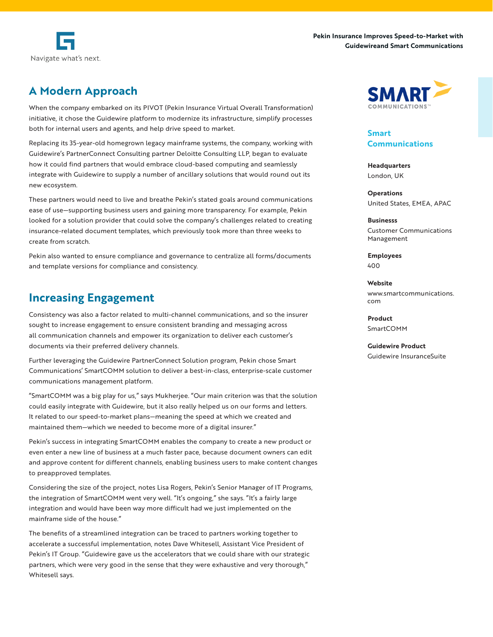



## **A Modern Approach**

When the company embarked on its PIVOT (Pekin Insurance Virtual Overall Transformation) initiative, it chose the Guidewire platform to modernize its infrastructure, simplify processes both for internal users and agents, and help drive speed to market.

Replacing its 35-year-old homegrown legacy mainframe systems, the company, working with Guidewire's PartnerConnect Consulting partner Deloitte Consulting LLP, began to evaluate how it could find partners that would embrace cloud-based computing and seamlessly integrate with Guidewire to supply a number of ancillary solutions that would round out its new ecosystem.

These partners would need to live and breathe Pekin's stated goals around communications ease of use—supporting business users and gaining more transparency. For example, Pekin looked for a solution provider that could solve the company's challenges related to creating insurance-related document templates, which previously took more than three weeks to create from scratch.

Pekin also wanted to ensure compliance and governance to centralize all forms/documents and template versions for compliance and consistency.

## **Increasing Engagement**

Consistency was also a factor related to multi-channel communications, and so the insurer sought to increase engagement to ensure consistent branding and messaging across all communication channels and empower its organization to deliver each customer's documents via their preferred delivery channels.

Further leveraging the Guidewire PartnerConnect Solution program, Pekin chose Smart Communications' SmartCOMM solution to deliver a best-in-class, enterprise-scale customer communications management platform.

"SmartCOMM was a big play for us," says Mukherjee. "Our main criterion was that the solution could easily integrate with Guidewire, but it also really helped us on our forms and letters. It related to our speed-to-market plans—meaning the speed at which we created and maintained them—which we needed to become more of a digital insurer."

Pekin's success in integrating SmartCOMM enables the company to create a new product or even enter a new line of business at a much faster pace, because document owners can edit and approve content for different channels, enabling business users to make content changes to preapproved templates.

Considering the size of the project, notes Lisa Rogers, Pekin's Senior Manager of IT Programs, the integration of SmartCOMM went very well. "It's ongoing," she says. "It's a fairly large integration and would have been way more difficult had we just implemented on the mainframe side of the house."

The benefits of a streamlined integration can be traced to partners working together to accelerate a successful implementation, notes Dave Whitesell, Assistant Vice President of Pekin's IT Group. "Guidewire gave us the accelerators that we could share with our strategic partners, which were very good in the sense that they were exhaustive and very thorough," Whitesell says.



**Smart Communications**

**Headquarters** London, UK

**Operations** United States, EMEA, APAC

**Businesss** Customer Communications Management

**Employees** 400

**Website** www.smartcommunications. com

**Product SmartCOMM** 

**Guidewire Product** Guidewire InsuranceSuite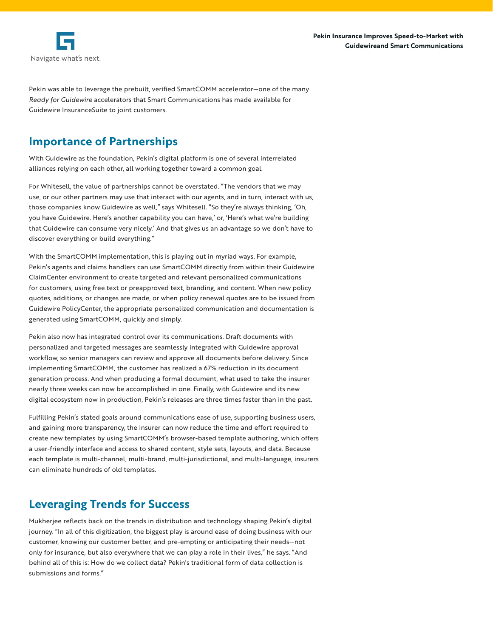

Pekin was able to leverage the prebuilt, verified SmartCOMM accelerator—one of the many *Ready for Guidewire* accelerators that Smart Communications has made available for Guidewire InsuranceSuite to joint customers.

## **Importance of Partnerships**

With Guidewire as the foundation, Pekin's digital platform is one of several interrelated alliances relying on each other, all working together toward a common goal.

For Whitesell, the value of partnerships cannot be overstated. "The vendors that we may use, or our other partners may use that interact with our agents, and in turn, interact with us, those companies know Guidewire as well," says Whitesell. "So they're always thinking, 'Oh, you have Guidewire. Here's another capability you can have,' or, 'Here's what we're building that Guidewire can consume very nicely.' And that gives us an advantage so we don't have to discover everything or build everything."

With the SmartCOMM implementation, this is playing out in myriad ways. For example, Pekin's agents and claims handlers can use SmartCOMM directly from within their Guidewire ClaimCenter environment to create targeted and relevant personalized communications for customers, using free text or preapproved text, branding, and content. When new policy quotes, additions, or changes are made, or when policy renewal quotes are to be issued from Guidewire PolicyCenter, the appropriate personalized communication and documentation is generated using SmartCOMM, quickly and simply.

Pekin also now has integrated control over its communications. Draft documents with personalized and targeted messages are seamlessly integrated with Guidewire approval workflow, so senior managers can review and approve all documents before delivery. Since implementing SmartCOMM, the customer has realized a 67% reduction in its document generation process. And when producing a formal document, what used to take the insurer nearly three weeks can now be accomplished in one. Finally, with Guidewire and its new digital ecosystem now in production, Pekin's releases are three times faster than in the past.

Fulfilling Pekin's stated goals around communications ease of use, supporting business users, and gaining more transparency, the insurer can now reduce the time and effort required to create new templates by using SmartCOMM's browser-based template authoring, which offers a user-friendly interface and access to shared content, style sets, layouts, and data. Because each template is multi-channel, multi-brand, multi-jurisdictional, and multi-language, insurers can eliminate hundreds of old templates.

## **Leveraging Trends for Success**

Mukherjee reflects back on the trends in distribution and technology shaping Pekin's digital journey. "In all of this digitization, the biggest play is around ease of doing business with our customer, knowing our customer better, and pre-empting or anticipating their needs—not only for insurance, but also everywhere that we can play a role in their lives," he says. "And behind all of this is: How do we collect data? Pekin's traditional form of data collection is submissions and forms."